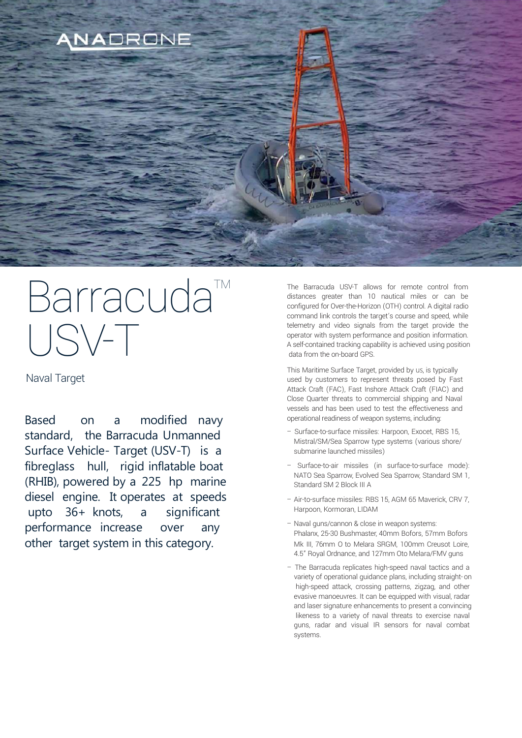

# Barracuda<sup>™</sup> USV-T

Naval Target

Based on a modified navy standard, the Barracuda Unmanned Surface Vehicle- Target (USV-T) is a fibreglass hull, rigid inflatable boat (RHIB), powered by a 225 hp marine diesel engine. It operates at speeds upto 36+ knots, a significant performance increase over any other target system in this category.

The Barracuda USV-T allows for remote control from distances greater than 10 nautical miles or can be configured for Over-the-Horizon (OTH) control. A digital radio command link controls the target's course and speed, while telemetry and video signals from the target provide the operator with system performance and position information. A self-contained tracking capability is achieved using position data from the on-board GPS.

This Maritime Surface Target, provided by us, is typically used by customers to represent threats posed by Fast Attack Craft (FAC), Fast Inshore Attack Craft (FIAC) and Close Quarter threats to commercial shipping and Naval vessels and has been used to test the effectiveness and operational readiness of weapon systems, including:

- Surface-to-surface missiles: Harpoon, Exocet, RBS 15, Mistral/SM/Sea Sparrow type systems (various shore/ submarine launched missiles)
- Surface-to-air missiles (in surface-to-surface mode): NATO Sea Sparrow, Evolved Sea Sparrow, Standard SM 1, Standard SM 2 Block III A
- Air-to-surface missiles: RBS 15, AGM 65 Maverick, CRV 7, Harpoon, Kormoran, LIDAM
- Naval guns/cannon & close in weapon systems: Phalanx, 25-30 Bushmaster, 40mm Bofors, 57mm Bofors Mk III, 76mm O to Melara SRGM, 100mm Creusot Loire, 4.5" Royal Ordnance, and 127mm Oto Melara/FMV guns
- The Barracuda replicates high-speed naval tactics and a variety of operational guidance plans, including straight-on high-speed attack, crossing patterns, zigzag, and other evasive manoeuvres. It can be equipped with visual, radar and laser signature enhancements to present a convincing likeness to a variety of naval threats to exercise naval guns, radar and visual IR sensors for naval combat systems.